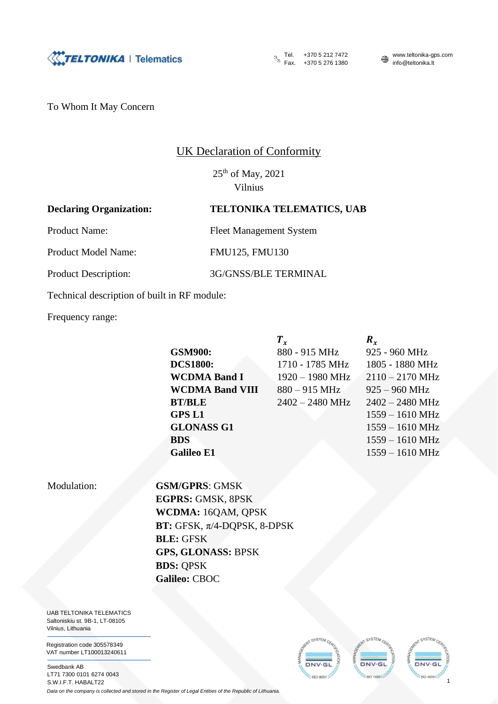

Fax. +370 5 276 1380 info@teltonika.lt

Tel.  $+37052127472$  www.teltonika-gps.com

To Whom It May Concern

## UK Declaration of Conformity

25<sup>th</sup> of May, 2021 Vilnius

## **Declaring Organization: TELTONIKA TELEMATICS, UAB**

Product Name: Fleet Management System

Product Model Name: FMU125, FMU130

Product Description: 3G/GNSS/BLE TERMINAL

Technical description of built in RF module:

Frequency range:

Galileo E1 1559 – 1610 MHz

|                        | $T_{r}$           | $R_{r}$                   |
|------------------------|-------------------|---------------------------|
| <b>GSM900:</b>         | 880 - 915 MHz     | 925 - 960 MHz             |
| <b>DCS1800:</b>        | 1710 - 1785 MHz   | 1805 - 1880 MHz           |
| <b>WCDMA Band I</b>    | $1920 - 1980$ MHz | $2110 - 2170$ MHz         |
| <b>WCDMA Band VIII</b> | $880 - 915$ MHz   | $925 - 960$ MHz           |
| <b>BT/BLE</b>          | $2402 - 2480$ MHz | $2402 - 2480$ MHz         |
| <b>GPS L1</b>          |                   | $1559 - 1610 \text{ MHz}$ |
| <b>GLONASS G1</b>      |                   | $1559 - 1610 \text{ MHz}$ |
| <b>BDS</b>             |                   | $1559 - 1610 \text{ MHz}$ |
|                        |                   |                           |

Modulation: **GSM/GPRS**: GMSK **EGPRS:** GMSK, 8PSK **WCDMA:** 16QAM, QPSK **BT:** GFSK, π/4-DQPSK, 8-DPSK **BLE:** GFSK **GPS, GLONASS:** BPSK **BDS:** QPSK **Galileo:** CBOC

UAB TELTONIKA TELEMATICS Saltoniskiu st. 9B-1, LT-08105 Vilnius, Lithuania

Registration code 305578349 VAT number LT100013240611

Swedbank AB LT71 7300 0101 6274 0043 S.W.I.F.T. HABALT22 *Data on the company is collected and stored in the Register of Legal Entities of the Republic of Lithuania.*



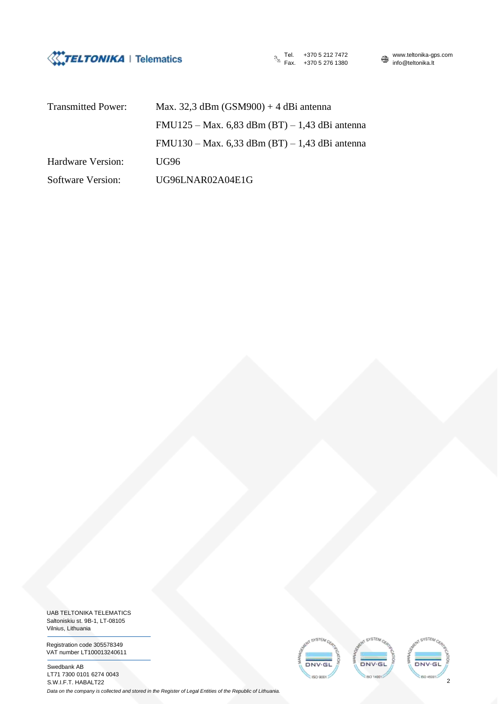

Tel. +370 5 212 7472 www.teltonika-gps.com<br>Fax. +370 5 276 1380 www.teltonika.lt Fax. +370 5 276 1380

| <b>Transmitted Power:</b> | Max. 32,3 dBm $(GSM900) + 4$ dBi antenna         |  |  |
|---------------------------|--------------------------------------------------|--|--|
|                           | $FMU125 - Max. 6,83 dBm (BT) - 1,43 dBi antenna$ |  |  |
|                           | $FMU130 - Max. 6,33 dBm (BT) - 1,43 dBi antenna$ |  |  |
| Hardware Version:         | UG96                                             |  |  |
| Software Version:         | UG96LNAR02A04E1G                                 |  |  |

UAB TELTONIKA TELEMATICS Saltoniskiu st. 9B-1, LT-08105 Vilnius, Lithuania

Registration code 305578349 VAT number LT100013240611

Swedbank AB LT71 7300 0101 6274 0043 S.W.I.F.T. HABALT22

ex STEN DNV-GL DNV-GL DNV-GL **EISO 9001 ISO 14001 ISO ASTOR** 2

*Data on the company is collected and stored in the Register of Legal Entities of the Republic of Lithuania.*